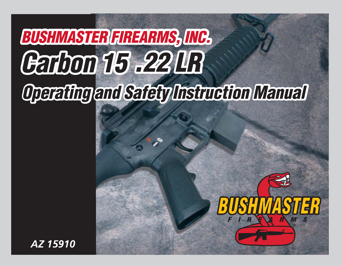# **BUSHMASTER FIREARMS, INC.** Garbon 15 .22 LR Operating and Safety Instruction Manual

TER

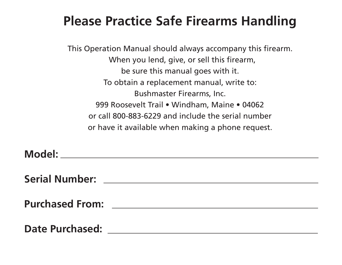# **Please Practice Safe Firearms Handling**

This Operation Manual should always accompany this firearm. When you lend, give, or sell this firearm, be sure this manual goes with it. To obtain a replacement manual, write to: Bushmaster Firearms, Inc. 999 Roosevelt Trail • Windham, Maine • 04062 or call 800-883-6229 and include the serial number or have it available when making a phone request.

**Model: Serial Number: Purchased From: Date Purchased:**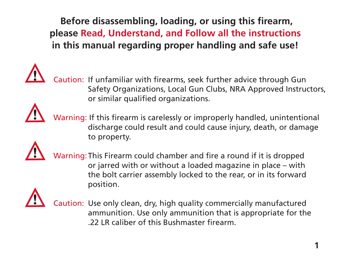**Before disassembling, loading, or using this firearm, please Read, Understand, and Follow all the instructions in this manual regarding proper handling and safe use!** 



Caution: If unfamiliar with firearms, seek further advice through Gun Safety Organizations, Local Gun Clubs, NRA Approved Instructors, or similar qualified organizations.



 Warning: If this firearm is carelessly or improperly handled, unintentional discharge could result and could cause injury, death, or damage to property.



 Warning: This Firearm could chamber and fire a round if it is dropped or jarred with or without a loaded magazine in place – with the bolt carrier assembly locked to the rear, or in its forward position.



 Caution: Use only clean, dry, high quality commercially manufactured ammunition. Use only ammunition that is appropriate for the .22 LR caliber of this Bushmaster firearm.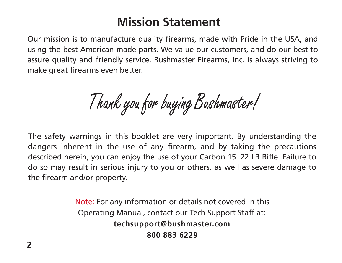### **Mission Statement**

Our mission is to manufacture quality firearms, made with Pride in the USA, and using the best American made parts. We value our customers, and do our best to assure quality and friendly service. Bushmaster Firearms, Inc. is always striving to make great firearms even better.

Thank you for buying Bushmaster!

The safety warnings in this booklet are very important. By understanding the dangers inherent in the use of any firearm, and by taking the precautions described herein, you can enjoy the use of your Carbon 15 .22 LR Rifle. Failure to do so may result in serious injury to you or others, as well as severe damage to the firearm and/or property.

> Note: For any information or details not covered in this Operating Manual, contact our Tech Support Staff at: **techsupport@bushmaster.com 800 883 6229**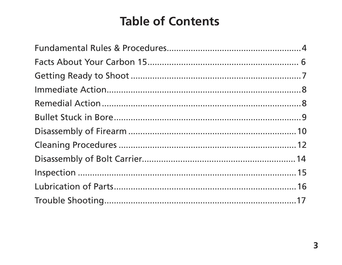## **Table of Contents**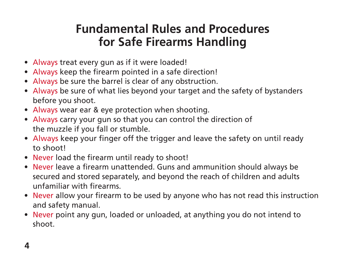### **Fundamental Rules and Procedures for Safe Firearms Handling**

- Always treat every gun as if it were loaded!
- Always keep the firearm pointed in a safe direction!
- Always be sure the barrel is clear of any obstruction.
- Always be sure of what lies beyond your target and the safety of bystanders before you shoot.
- Always wear ear & eye protection when shooting.
- Always carry your gun so that you can control the direction of the muzzle if you fall or stumble.
- Always keep your finger off the trigger and leave the safety on until ready to shoot!
- Never load the firearm until ready to shoot!
- Never leave a firearm unattended. Guns and ammunition should always be secured and stored separately, and beyond the reach of children and adults unfamiliar with firearms.
- Never allow your firearm to be used by anyone who has not read this instruction and safety manual.
- Never point any gun, loaded or unloaded, at anything you do not intend to shoot.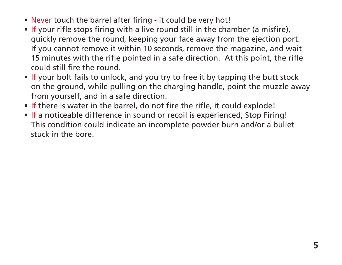- Never touch the barrel after firing it could be very hot!
- If your rifle stops firing with a live round still in the chamber (a misfire), quickly remove the round, keeping your face away from the ejection port. If you cannot remove it within 10 seconds, remove the magazine, and wait 15 minutes with the rifle pointed in a safe direction. At this point, the rifle could still fire the round.
- If your bolt fails to unlock, and you try to free it by tapping the butt stock on the ground, while pulling on the charging handle, point the muzzle away from yourself, and in a safe direction.
- If there is water in the barrel, do not fire the rifle, it could explode!
- If a noticeable difference in sound or recoil is experienced, Stop Firing! This condition could indicate an incomplete powder burn and/or a bullet stuck in the bore.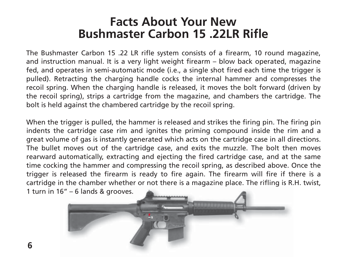### **Facts About Your New Bushmaster Carbon 15 .22LR Rifle**

The Bushmaster Carbon 15 .22 LR rifle system consists of a firearm, 10 round magazine, and instruction manual. It is a very light weight firearm – blow back operated, magazine fed, and operates in semi-automatic mode (i.e., a single shot fired each time the trigger is pulled). Retracting the charging handle cocks the internal hammer and compresses the recoil spring. When the charging handle is released, it moves the bolt forward (driven by the recoil spring), strips a cartridge from the magazine, and chambers the cartridge. The bolt is held against the chambered cartridge by the recoil spring.

When the trigger is pulled, the hammer is released and strikes the firing pin. The firing pin indents the cartridge case rim and ignites the priming compound inside the rim and a great volume of gas is instantly generated which acts on the cartridge case in all directions. The bullet moves out of the cartridge case, and exits the muzzle. The bolt then moves rearward automatically, extracting and ejecting the fired cartridge case, and at the same time cocking the hammer and compressing the recoil spring, as described above. Once the trigger is released the firearm is ready to fire again. The firearm will fire if there is a cartridge in the chamber whether or not there is a magazine place. The rifling is R.H. twist, 1 turn in 16" – 6 lands & grooves.

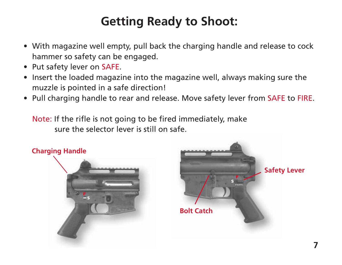# **Getting Ready to Shoot:**

- With magazine well empty, pull back the charging handle and release to cock hammer so safety can be engaged.
- Put safety lever on SAFE.
- Insert the loaded magazine into the magazine well, always making sure the muzzle is pointed in a safe direction!
- Pull charging handle to rear and release. Move safety lever from SAFE to FIRE.

 Note: If the rifle is not going to be fired immediately, make sure the selector lever is still on safe.



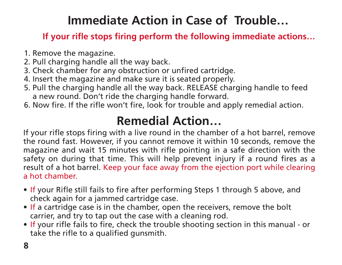## **Immediate Action in Case of Trouble…**

#### **If your rifle stops firing perform the following immediate actions…**

- 1. Remove the magazine.
- 2. Pull charging handle all the way back.
- 3. Check chamber for any obstruction or unfired cartridge.
- 4. Insert the magazine and make sure it is seated properly.
- 5. Pull the charging handle all the way back. RELEASE charging handle to feed a new round. Don't ride the charging handle forward.
- 6. Now fire. If the rifle won't fire, look for trouble and apply remedial action.

## **Remedial Action…**

If your rifle stops firing with a live round in the chamber of a hot barrel, remove the round fast. However, if you cannot remove it within 10 seconds, remove the magazine and wait 15 minutes with rifle pointing in a safe direction with the safety on during that time. This will help prevent injury if a round fires as a result of a hot barrel. Keep your face away from the ejection port while clearing a hot chamber.

- If your Rifle still fails to fire after performing Steps 1 through 5 above, and check again for a jammed cartridge case.
- If a cartridge case is in the chamber, open the receivers, remove the bolt carrier, and try to tap out the case with a cleaning rod.
- If your rifle fails to fire, check the trouble shooting section in this manual or take the rifle to a qualified gunsmith.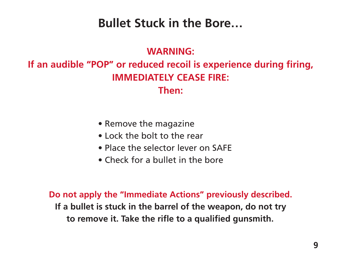### **Bullet Stuck in the Bore…**

#### **WARNING:**

#### **If an audible "POP" or reduced recoil is experience during firing, IMMEDIATELY CEASE FIRE: Then:**

- Remove the magazine
- Lock the bolt to the rear
- Place the selector lever on SAFE
- Check for a bullet in the bore

**Do not apply the "Immediate Actions" previously described. If a bullet is stuck in the barrel of the weapon, do not try to remove it. Take the rifle to a qualified gunsmith.**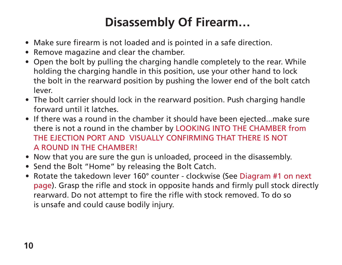# **Disassembly Of Firearm…**

- Make sure firearm is not loaded and is pointed in a safe direction.
- Remove magazine and clear the chamber.
- Open the bolt by pulling the charging handle completely to the rear. While holding the charging handle in this position, use your other hand to lock the bolt in the rearward position by pushing the lower end of the bolt catch lever.
- The bolt carrier should lock in the rearward position. Push charging handle forward until it latches.
- If there was a round in the chamber it should have been ejected...make sure there is not a round in the chamber by LOOKING INTO THE CHAMBER from THE EJECTION PORT AND VISUALLY CONFIRMING THAT THERE IS NOT A ROUND IN THE CHAMBER!
- Now that you are sure the gun is unloaded, proceed in the disassembly.
- Send the Bolt "Home" by releasing the Bolt Catch.
- Rotate the takedown lever 160° counter clockwise (See Diagram #1 on next page). Grasp the rifle and stock in opposite hands and firmly pull stock directly rearward. Do not attempt to fire the rifle with stock removed. To do so is unsafe and could cause bodily injury.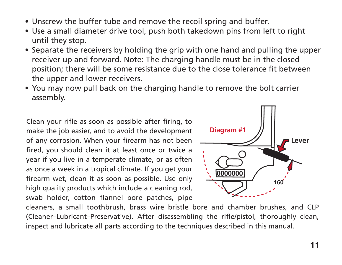- Unscrew the buffer tube and remove the recoil spring and buffer.
- Use a small diameter drive tool, push both takedown pins from left to right until they stop.
- Separate the receivers by holding the grip with one hand and pulling the upper receiver up and forward. Note: The charging handle must be in the closed position; there will be some resistance due to the close tolerance fit between the upper and lower receivers.
- You may now pull back on the charging handle to remove the bolt carrier assembly.

Clean your rifle as soon as possible after firing, to make the job easier, and to avoid the development of any corrosion. When your firearm has not been fired, you should clean it at least once or twice a year if you live in a temperate climate, or as often as once a week in a tropical climate. If you get your firearm wet, clean it as soon as possible. Use only high quality products which include a cleaning rod, swab holder, cotton flannel bore patches, pipe



cleaners, a small toothbrush, brass wire bristle bore and chamber brushes, and CLP (Cleaner–Lubricant–Preservative). After disassembling the rifle/pistol, thoroughly clean, inspect and lubricate all parts according to the techniques described in this manual.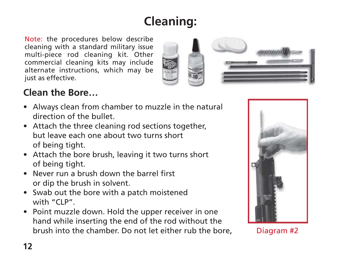# **Cleaning:**

Note: the procedures below describe cleaning with a standard military issue multi-piece rod cleaning kit. Other commercial cleaning kits may include alternate instructions, which may be just as effective.



#### **Clean the Bore…**

- Always clean from chamber to muzzle in the natural direction of the bullet.
- Attach the three cleaning rod sections together, but leave each one about two turns short of being tight.
- Attach the bore brush, leaving it two turns short of being tight.
- Never run a brush down the barrel first or dip the brush in solvent.
- Swab out the bore with a patch moistened with "CLP".
- Point muzzle down. Hold the upper receiver in one hand while inserting the end of the rod without the brush into the chamber. Do not let either rub the bore,



Diagram #2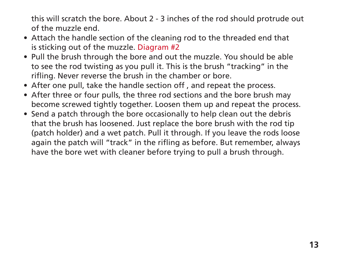this will scratch the bore. About 2 - 3 inches of the rod should protrude out of the muzzle end.

- Attach the handle section of the cleaning rod to the threaded end that is sticking out of the muzzle. Diagram #2
- Pull the brush through the bore and out the muzzle. You should be able to see the rod twisting as you pull it. This is the brush "tracking" in the rifling. Never reverse the brush in the chamber or bore.
- After one pull, take the handle section off , and repeat the process.
- After three or four pulls, the three rod sections and the bore brush may become screwed tightly together. Loosen them up and repeat the process.
- Send a patch through the bore occasionally to help clean out the debris that the brush has loosened. Just replace the bore brush with the rod tip (patch holder) and a wet patch. Pull it through. If you leave the rods loose again the patch will "track" in the rifling as before. But remember, always have the bore wet with cleaner before trying to pull a brush through.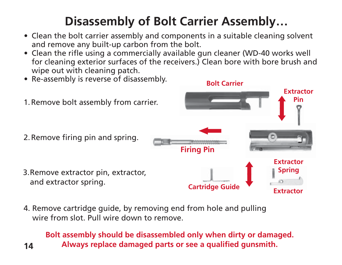# **Disassembly of Bolt Carrier Assembly…**

- Clean the bolt carrier assembly and components in a suitable cleaning solvent and remove any built-up carbon from the bolt.
- Clean the rifle using a commercially available gun cleaner (WD-40 works well for cleaning exterior surfaces of the receivers.) Clean bore with bore brush and wipe out with cleaning patch.



4. Remove cartridge guide, by removing end from hole and pulling wire from slot. Pull wire down to remove.

**14**

#### **Bolt assembly should be disassembled only when dirty or damaged. Always replace damaged parts or see a qualified gunsmith.**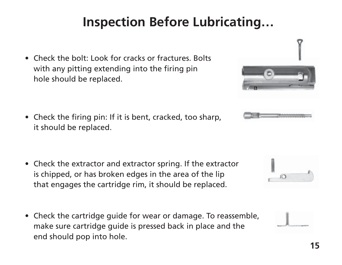# **Inspection Before Lubricating…**

• Check the bolt: Look for cracks or fractures. Bolts with any pitting extending into the firing pin hole should be replaced.

• Check the firing pin: If it is bent, cracked, too sharp, it should be replaced.

- Check the extractor and extractor spring. If the extractor is chipped, or has broken edges in the area of the lip that engages the cartridge rim, it should be replaced.
- Check the cartridge guide for wear or damage. To reassemble, make sure cartridge guide is pressed back in place and the end should pop into hole.





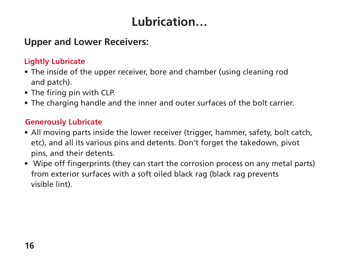# **Lubrication…**

#### **Upper and Lower Receivers:**

#### **Lightly Lubricate**

- The inside of the upper receiver, bore and chamber (using cleaning rod and patch).
- The firing pin with CLP.
- The charging handle and the inner and outer surfaces of the bolt carrier.

#### **Generously Lubricate**

- All moving parts inside the lower receiver (trigger, hammer, safety, bolt catch, etc), and all its various pins and detents. Don't forget the takedown, pivot pins, and their detents.
- Wipe off fingerprints (they can start the corrosion process on any metal parts) from exterior surfaces with a soft oiled black rag (black rag prevents visible lint).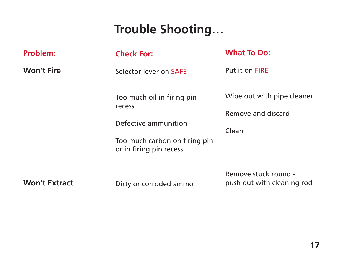### **Trouble Shooting…**

| Problem:             | <b>Check For:</b>                                                                                                        | <b>What To Do:</b>                                        |
|----------------------|--------------------------------------------------------------------------------------------------------------------------|-----------------------------------------------------------|
| <b>Won't Fire</b>    | Selector lever on SAFE                                                                                                   | Put it on FIRE                                            |
|                      | Too much oil in firing pin<br>recess<br>Defective ammunition<br>Too much carbon on firing pin<br>or in firing pin recess | Wipe out with pipe cleaner<br>Remove and discard<br>Clean |
| <b>Won't Extract</b> | Dirty or corroded ammo                                                                                                   | Remove stuck round -<br>push out with cleaning rod        |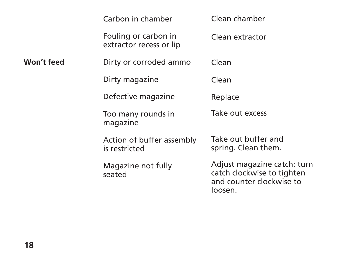|            | Carbon in chamber                               | Clean chamber                                                                                    |
|------------|-------------------------------------------------|--------------------------------------------------------------------------------------------------|
|            | Fouling or carbon in<br>extractor recess or lip | Clean extractor                                                                                  |
| Won't feed | Dirty or corroded ammo                          | Clean                                                                                            |
|            | Dirty magazine                                  | Clean                                                                                            |
|            | Defective magazine                              | Replace                                                                                          |
|            | Too many rounds in<br>magazine                  | Take out excess                                                                                  |
|            | Action of buffer assembly<br>is restricted      | Take out buffer and<br>spring. Clean them.                                                       |
|            | Magazine not fully<br>seated                    | Adjust magazine catch: turn<br>catch clockwise to tighten<br>and counter clockwise to<br>loosen. |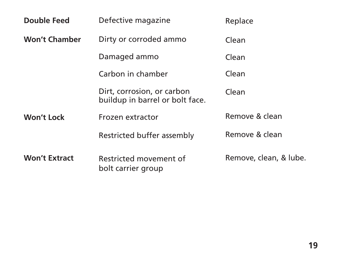| <b>Double Feed</b>   | Defective magazine                                            | Replace                |
|----------------------|---------------------------------------------------------------|------------------------|
| <b>Won't Chamber</b> | Dirty or corroded ammo                                        | Clean                  |
|                      | Damaged ammo                                                  | Clean                  |
|                      | Carbon in chamber                                             | Clean                  |
|                      | Dirt, corrosion, or carbon<br>buildup in barrel or bolt face. | Clean                  |
| Won't Lock           | Frozen extractor                                              | Remove & clean         |
|                      | Restricted buffer assembly                                    | Remove & clean         |
| <b>Won't Extract</b> | Restricted movement of<br>bolt carrier group                  | Remove, clean, & lube. |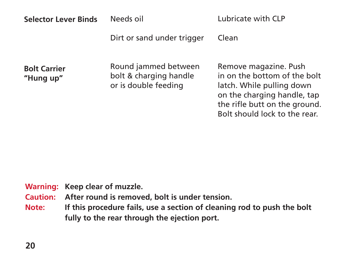| <b>Selector Lever Binds</b>      | Needs oil                                                              | Lubricate with CLP                                                                                                                                                                  |
|----------------------------------|------------------------------------------------------------------------|-------------------------------------------------------------------------------------------------------------------------------------------------------------------------------------|
|                                  | Dirt or sand under trigger                                             | Clean                                                                                                                                                                               |
| <b>Bolt Carrier</b><br>"Hung up" | Round jammed between<br>bolt & charging handle<br>or is double feeding | Remove magazine. Push<br>in on the bottom of the bolt<br>latch. While pulling down<br>on the charging handle, tap<br>the rifle butt on the ground.<br>Bolt should lock to the rear. |

**Warning: Keep clear of muzzle.**

**Caution: After round is removed, bolt is under tension.**

**Note: If this procedure fails, use a section of cleaning rod to push the bolt fully to the rear through the ejection port.**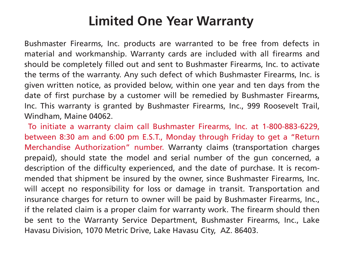## **Limited One Year Warranty**

Bushmaster Firearms, Inc. products are warranted to be free from defects in material and workmanship. Warranty cards are included with all firearms and should be completely filled out and sent to Bushmaster Firearms, Inc. to activate the terms of the warranty. Any such defect of which Bushmaster Firearms, Inc. is given written notice, as provided below, within one year and ten days from the date of first purchase by a customer will be remedied by Bushmaster Firearms, Inc. This warranty is granted by Bushmaster Firearms, Inc., 999 Roosevelt Trail, Windham, Maine 04062.

To initiate a warranty claim call Bushmaster Firearms, Inc. at 1-800-883-6229, between 8:30 am and 6:00 pm E.S.T., Monday through Friday to get a "Return Merchandise Authorization" number. Warranty claims (transportation charges prepaid), should state the model and serial number of the gun concerned, a description of the difficulty experienced, and the date of purchase. It is recommended that shipment be insured by the owner, since Bushmaster Firearms, Inc. will accept no responsibility for loss or damage in transit. Transportation and insurance charges for return to owner will be paid by Bushmaster Firearms, Inc., if the related claim is a proper claim for warranty work. The firearm should then be sent to the Warranty Service Department, Bushmaster Firearms, Inc., Lake Havasu Division, 1070 Metric Drive, Lake Havasu City, AZ. 86403.